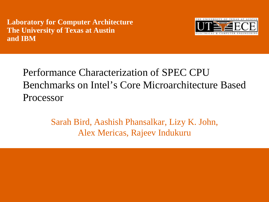**Laboratory for Computer Architecture The University of Texas at Austin and IBM**



Performance Characterization of SPEC CPU Benchmarks on Intel's Core Microarchitecture Based Processor

> Sarah Bird, Aashish Phansalkar, Lizy K. John, Alex Mericas, Rajeev Indukuru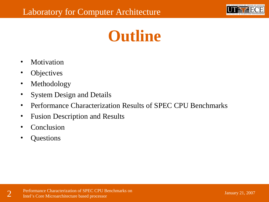

## **Outline**

- Motivation
- **Objectives**
- **Methodology**
- System Design and Details
- Performance Characterization Results of SPEC CPU Benchmarks
- Fusion Description and Results
- **Conclusion**
- Questions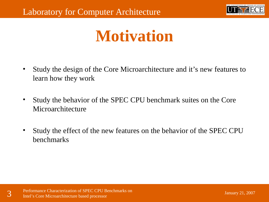

## **Motivation**

- Study the design of the Core Microarchitecture and it's new features to learn how they work
- Study the behavior of the SPEC CPU benchmark suites on the Core Microarchitecture
- Study the effect of the new features on the behavior of the SPEC CPU benchmarks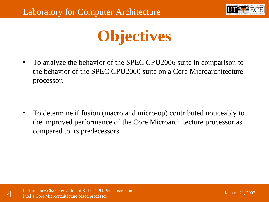

## **Objectives**

• To analyze the behavior of the SPEC CPU2006 suite in comparison to the behavior of the SPEC CPU2000 suite on a Core Microarchitecture processor.

• To determine if fusion (macro and micro-op) contributed noticeably to the improved performance of the Core Microarchitecture processor as compared to its predecessors.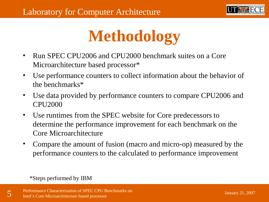

## **Methodology**

- Run SPEC CPU2006 and CPU2000 benchmark suites on a Core Microarchitecture based processor\*
- Use performance counters to collect information about the behavior of the benchmarks\*
- Use data provided by performance counters to compare CPU2006 and CPU2000
- Use runtimes from the SPEC website for Core predecessors to determine the performance improvement for each benchmark on the Core Microarchitecture
- Compare the amount of fusion (macro and micro-op) measured by the performance counters to the calculated to performance improvement

\*Steps performed by IBM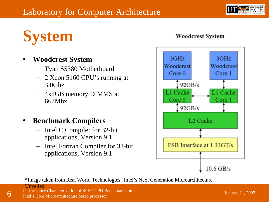

## **System**

#### • **Woodcrest System**

- Tyan S5380 Motherboard
- 2 Xeon 5160 CPU's running at 3.0Ghz
- 4x1GB memory DIMMS at 667Mhz

#### • **Benchmark Compilers**

- Intel C Compiler for 32-bit applications, Version 9.1
- Intel Fortran Compiler for 32-bit applications, Version 9.1



**Woodcrest System** 

\*Image taken from Real World Technologies "Intel's Next Generation Microarchitecture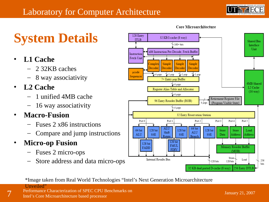

January 21, 2007

## **System Details**

- **L1 Cache**
	- 2 32KB caches
	- 8 way associativity
- **L2 Cache**
	- 1 unified 4MB cache
	- 16 way associativity
- **Macro-Fusion**
	- Fuses 2 x86 instructions
	- Compare and jump instructions
- **Micro-op Fusion**
	- Fuses 2 micro-ops
	- Store address and data micro-ops



\*Image taken from Real World Technologies "Intel's Next Generation Microarchitecture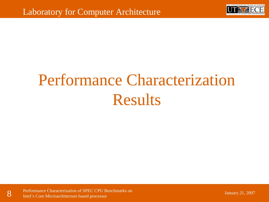

# Performance Characterization Results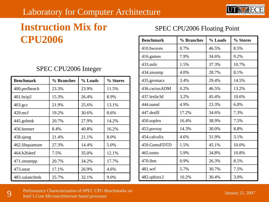### Laboratory for Computer Architecture



## **Instruction Mix for CPU2006**

#### SPEC CPU2006 Integer

| <b>Benchmark</b> | % Branches | % Loads | % Stores |
|------------------|------------|---------|----------|
| 400.perlbench    | 23.3%      | 23.9%   | 11.5%    |
| 401.bzip2        | 15.3%      | 26.4%   | 8.9%     |
| $403.\text{gcc}$ | 21.9%      | 25.6%   | 13.1%    |
| $429$ .mcf       | 19.2%      | 30.6%   | 8.6%     |
| 445.gobmk        | 20.7%      | 27.9%   | 14.2%    |
| 456.hmmer        | 8.4%       | 40.8%   | 16.2%    |
| 458.sjeng        | 21.4%      | 21.1%   | 8.0%     |
| 462.libquantum   | 27.3%      | 14.4%   | 5.0%     |
| 464.h264ref      | 7.5%       | 35.0%   | 12.1%    |
| 471.omnetpp      | 20.7%      | 34.2%   | 17.7%    |
| 473.astar        | 17.1%      | 26.9%   | 4.6%     |
| 483.xalancbmk    | 25.7%      | 32.1%   | 9.0%     |

#### SPEC CPU2006 Floating Point

| <b>Benchmark</b> | % Branches | % Loads | % Stores |
|------------------|------------|---------|----------|
| 410.bwayes       | 0.7%       | 46.5%   | 8.5%     |
| 416.games        | 7.9%       | 34.6%   | 9.2%     |
| 433.milc         | 1.5%       | 37.3%   | 10.7%    |
| 434.zeusmp       | 4.0%       | 28.7%   | 8.1%     |
| 435.gromacs      | 3.4%       | 29.4%   | 14.5%    |
| 436.cactusADM    | 0.2%       | 46.5%   | 13.2%    |
| 437.leslie3d     | 3.2%       | 45.4%   | 10.6%    |
| 444.namd         | 4.9%       | 23.3%   | 6.0%     |
| 447.dealll       | 17.2%      | 34.6%   | 7.3%     |
| 450.soplex       | 16.4%      | 38.9%   | 7.5%     |
| 453.povray       | 14.3%      | 30.0%   | 8.8%     |
| 454.calculix     | 4.6%       | 31.9%   | 3.1%     |
| 459.GemsFDTD     | 1.5%       | 45.1%   | 10.0%    |
| 465.tonto        | 5.9%       | 34.8%   | 10.8%    |
| $470$ .ibm       | 0.9%       | 26.3%   | 8.5%     |
| 481.wrf          | 5.7%       | 30.7%   | 7.5%     |
| 482.sphinx3      | 10.2%      | 30.4%   | 3.0%     |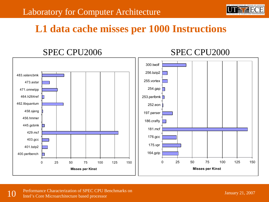

### **L1 data cache misses per 1000 Instructions**

#### 0 25 50 75 100 125 150 400.perlbench 401.bzip2 403.gcc 429.mcf 445.gobmk 456.hmmer 458.sjeng 462.libquantum 464.h264ref 471.omnetpp 473.astar 483.xalancbmk **Misses per Kinst** 0 25 50 75 100 125 150 164.gzip 175.vpr 176.gcc 181.mcf 186.crafty 197.parser 252.eon 253.perlbmk 254.gap 255.vortex 256.bzip2 300.twolf **Misses per Kinst** SPEC CPU2006 SPEC CPU2000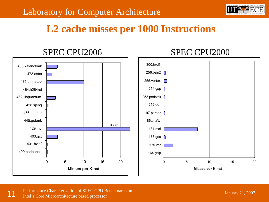

### **L2 cache misses per 1000 Instructions**

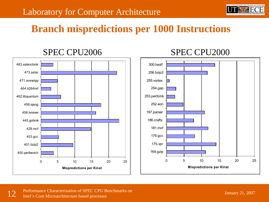

### **Branch mispredictions per 1000 Instructions**



#### SPEC CPU2006 SPEC CPU2000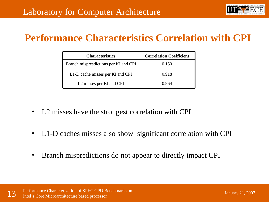

### **Performance Characteristics Correlation with CPI**

| <b>Characteristics</b>                | <b>Correlation Coefficient</b> |  |
|---------------------------------------|--------------------------------|--|
| Branch mispresdictions per KI and CPI | 0.150                          |  |
| L1-D cache misses per KI and CPI      | 0.918                          |  |
| L <sub>2</sub> misses per KI and CPI  | 0.964                          |  |

- L2 misses have the strongest correlation with CPI
- L1-D caches misses also show significant correlation with CPI
- Branch mispredictions do not appear to directly impact CPI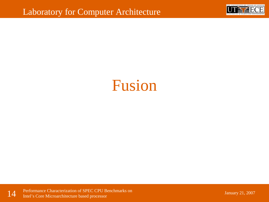

## Fusion

14 Performance Characterization of SPEC CPU Benchmarks on Intel's Core Microarchitecture based processor

January 21, 2007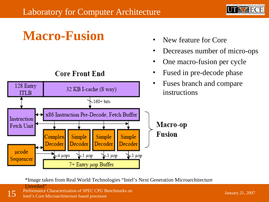

## **Macro-Fusion** • New feature for Core

#### **Core Front End**



- 
- Decreases number of micro-ops
- One macro-fusion per cycle
- Fused in pre-decode phase
- Fuses branch and compare instructions

\*Image taken from Real World Technologies "Intel's Next Generation Microarchitecture

**Unveiled**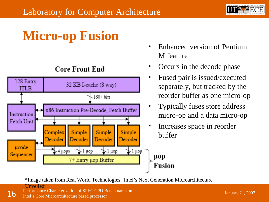

## **Micro-op Fusion**



#### **Core Front End**

- Enhanced version of Pentium M feature
- Occurs in the decode phase
- Fused pair is issued/executed separately, but tracked by the reorder buffer as one micro-op
- Typically fuses store address micro-op and a data micro-op
- Increases space in reorder buffer

µop Fusion

\*Image taken from Real World Technologies "Intel's Next Generation Microarchitecture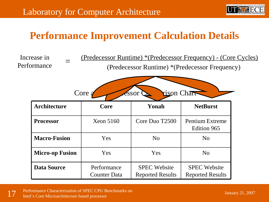

### **Performance Improvement Calculation Details**

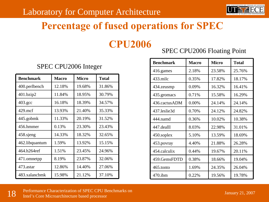

### **Percentage of fused operations for SPEC**

**CPU2006**

#### SPEC CPU2006 Floating Point

| <b>Benchmark</b> | <b>Macro</b> | <b>Micro</b> | <b>Total</b> |
|------------------|--------------|--------------|--------------|
| 416.games        | 2.18%        | 23.58%       | 25.76%       |
| 433.milc         | 0.35%        | 17.82%       | 18.17%       |
| 434.zeusmp       | 0.09%        | 16.32%       | 16.41%       |
| 435.gromacs      | 0.71%        | 15.58%       | 16.29%       |
| 436.cactusADM    | 0.00%        | 24.14%       | 24.14%       |
| 437.leslie3d     | 0.70%        | 24.12%       | 24.82%       |
| 444.namd         | 0.36%        | 10.02%       | 10.38%       |
| 447.dealll       | 8.03%        | 22.98%       | 31.01%       |
| 450.soplex       | 5.10%        | 13.59%       | 18.69%       |
| 453.povray       | 4.40%        | 21.88%       | 26.28%       |
| 454.calculix     | 0.44%        | 19.67%       | 20.11%       |
| 459.GemsFDTD     | 0.38%        | 18.66%       | 19.04%       |
| 465.tonto        | 1.69%        | 24.35%       | 26.04%       |
| $470$ .ibm       | 0.22%        | 19.56%       | 19.78%       |

#### SPEC CPU2006 Integer

| <b>Benchmark</b>   | <b>Macro</b> | <b>Micro</b> | <b>Total</b> |
|--------------------|--------------|--------------|--------------|
| 400.perlbench      | 12.18%       | 19.68%       | 31.86%       |
| 401.bzip2          | 11.84%       | 18.95%       | 30.79%       |
| $403.\mathrm{gcc}$ | 16.18%       | 18.39%       | 34.57%       |
| $429$ .mcf         | 13.93%       | 21.40%       | 35.33%       |
| 445.gobmk          | 11.33%       | 20.19%       | 31.52%       |
| 456.hmmer          | 0.13%        | 23.30%       | 23.43%       |
| 458.sjeng          | 14.33%       | 18.32%       | 32.65%       |
| 462.libquantum     | 1.59%        | 13.92%       | 15.15%       |
| 464.h264ref        | 1.51%        | 23.45%       | 24.96%       |
| 471.omnetpp        | 8.19%        | 23.87%       | 32.06%       |
| 473.astar          | 12.86%       | 14.40%       | 27.06%       |
| 483.xalancbmk      | 15.98%       | 21.12%       | 37.10%       |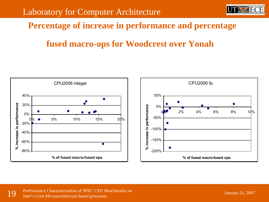

#### **Percentage of increase in performance and percentage**

### **fused macro-ops for Woodcrest over Yonah**

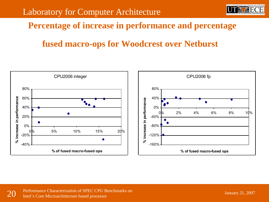

#### **Percentage of increase in performance and percentage**

### **fused macro-ops for Woodcrest over Netburst**

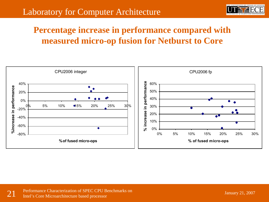

### **Percentage increase in performance compared with measured micro-op fusion for Netburst to Core**

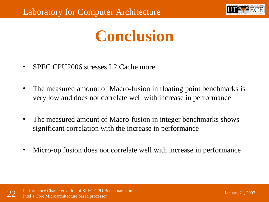

## **Conclusion**

- SPEC CPU2006 stresses L2 Cache more
- The measured amount of Macro-fusion in floating point benchmarks is very low and does not correlate well with increase in performance
- The measured amount of Macro-fusion in integer benchmarks shows significant correlation with the increase in performance
- Micro-op fusion does not correlate well with increase in performance